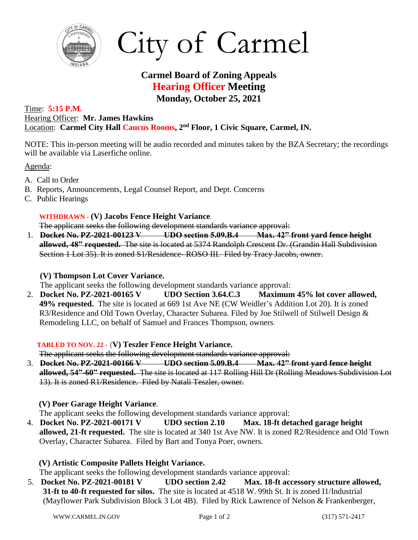

City of Carmel

# **Carmel Board of Zoning Appeals Hearing Officer Meeting Monday, October 25, 2021**

#### Time: **5:15 P.M.** Hearing Officer: **Mr. James Hawkins** Location: **Carmel City Hall Caucus Rooms, 2 nd Floor, 1 Civic Square, Carmel, IN.**

NOTE: This in-person meeting will be audio recorded and minutes taken by the BZA Secretary; the recordings will be available via Laserfiche online.

Agenda:

- A. Call to Order
- B. Reports, Announcements, Legal Counsel Report, and Dept. Concerns
- C. Public Hearings

## **WITHDRAWN - (V) Jacobs Fence Height Variance.**

The applicant seeks the following development standards variance approval:

1. **Docket No. PZ-2021-00123 V UDO section 5.09.B.4 Max. 42" front yard fence height allowed, 48" requested.** The site is located at 5374 Randolph Crescent Dr. (Grandin Hall Subdivision Section 1 Lot 35). It is zoned S1/Residence- ROSO III. Filed by Tracy Jacobs, owner.

## **(V) Thompson Lot Cover Variance.**

The applicant seeks the following development standards variance approval:

2. **Docket No. PZ-2021-00165 V UDO Section 3.64.C.3 Maximum 45% lot cover allowed, 49% requested.** The site is located at 669 1st Ave NE (CW Weidler's Addition Lot 20). It is zoned R3/Residence and Old Town Overlay, Character Subarea. Filed by Joe Stilwell of Stilwell Design & Remodeling LLC, on behalf of Samuel and Frances Thompson, owners.

## **TABLED TO NOV. 22 - (V) Teszler Fence Height Variance.**

The applicant seeks the following development standards variance approval:

3. **Docket No. PZ-2021-00166 V UDO section 5.09.B.4 Max. 42" front yard fence height allowed, 54"-60" requested.** The site is located at 117 Rolling Hill Dr (Rolling Meadows Subdivision Lot 13). It is zoned R1/Residence. Filed by Natali Teszler, owner.

## **(V) Poer Garage Height Variance.**

The applicant seeks the following development standards variance approval:

4. **Docket No. PZ-2021-00171 V UDO section 2.10 Max. 18-ft detached garage height allowed, 21-ft requested.** The site is located at 340 1st Ave NW. It is zoned R2/Residence and Old Town Overlay, Character Subarea. Filed by Bart and Tonya Poer, owners.

## **(V) Artistic Composite Pallets Height Variance.**

The applicant seeks the following development standards variance approval:

5. **Docket No. PZ-2021-00181 V UDO section 2.42 Max. 18-ft accessory structure allowed, 31-ft to 40-ft requested for silos.** The site is located at 4518 W. 99th St. It is zoned I1/Industrial (Mayflower Park Subdivision Block 3 Lot 4B). Filed by Rick Lawrence of Nelson & Frankenberger,